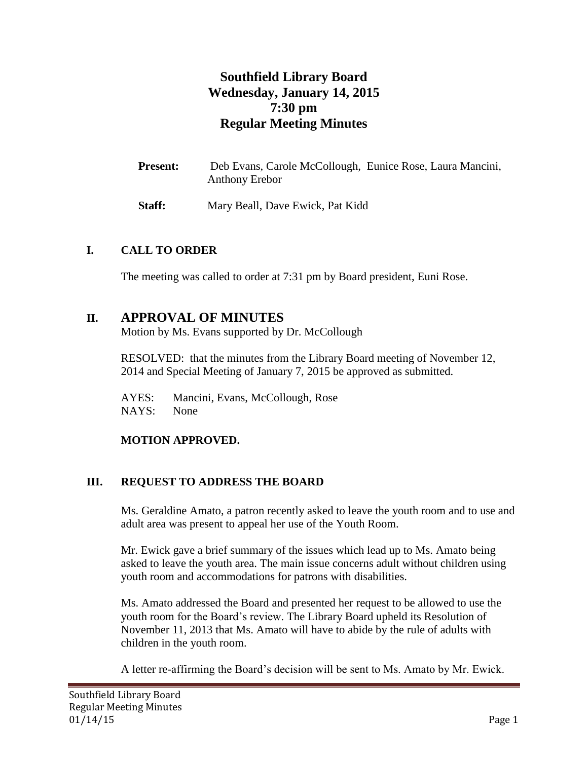# **Southfield Library Board Wednesday, January 14, 2015 7:30 pm Regular Meeting Minutes**

| <b>Present:</b> | Deb Evans, Carole McCollough, Eunice Rose, Laura Mancini, |  |
|-----------------|-----------------------------------------------------------|--|
|                 | <b>Anthony Erebor</b>                                     |  |

**Staff:** Mary Beall, Dave Ewick, Pat Kidd

### **I. CALL TO ORDER**

The meeting was called to order at 7:31 pm by Board president, Euni Rose.

## **II. APPROVAL OF MINUTES**

Motion by Ms. Evans supported by Dr. McCollough

RESOLVED: that the minutes from the Library Board meeting of November 12, 2014 and Special Meeting of January 7, 2015 be approved as submitted.

AYES: Mancini, Evans, McCollough, Rose NAYS: None

### **MOTION APPROVED.**

### **III. REQUEST TO ADDRESS THE BOARD**

Ms. Geraldine Amato, a patron recently asked to leave the youth room and to use and adult area was present to appeal her use of the Youth Room.

Mr. Ewick gave a brief summary of the issues which lead up to Ms. Amato being asked to leave the youth area. The main issue concerns adult without children using youth room and accommodations for patrons with disabilities.

Ms. Amato addressed the Board and presented her request to be allowed to use the youth room for the Board's review. The Library Board upheld its Resolution of November 11, 2013 that Ms. Amato will have to abide by the rule of adults with children in the youth room.

A letter re-affirming the Board's decision will be sent to Ms. Amato by Mr. Ewick.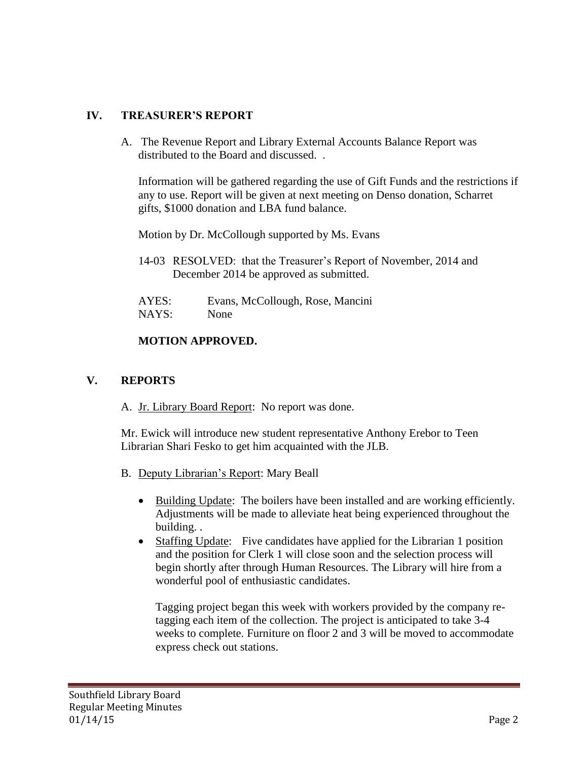### **IV. TREASURER'S REPORT**

A. The Revenue Report and Library External Accounts Balance Report was distributed to the Board and discussed. .

Information will be gathered regarding the use of Gift Funds and the restrictions if any to use. Report will be given at next meeting on Denso donation, Scharret gifts, \$1000 donation and LBA fund balance.

Motion by Dr. McCollough supported by Ms. Evans

- 14-03 RESOLVED: that the Treasurer's Report of November, 2014 and December 2014 be approved as submitted.
- AYES: Evans, McCollough, Rose, Mancini NAYS: None

#### **MOTION APPROVED.**

#### **V. REPORTS**

A. Jr. Library Board Report: No report was done.

Mr. Ewick will introduce new student representative Anthony Erebor to Teen Librarian Shari Fesko to get him acquainted with the JLB.

- B. Deputy Librarian's Report: Mary Beall
	- Building Update: The boilers have been installed and are working efficiently. Adjustments will be made to alleviate heat being experienced throughout the building. .
	- Staffing Update: Five candidates have applied for the Librarian 1 position and the position for Clerk 1 will close soon and the selection process will begin shortly after through Human Resources. The Library will hire from a wonderful pool of enthusiastic candidates.

Tagging project began this week with workers provided by the company retagging each item of the collection. The project is anticipated to take 3-4 weeks to complete. Furniture on floor 2 and 3 will be moved to accommodate express check out stations.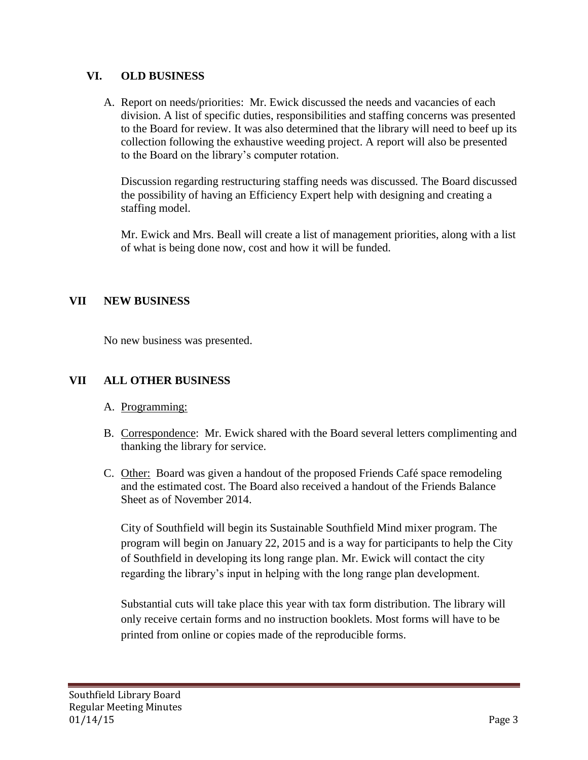### **VI. OLD BUSINESS**

A. Report on needs/priorities: Mr. Ewick discussed the needs and vacancies of each division. A list of specific duties, responsibilities and staffing concerns was presented to the Board for review. It was also determined that the library will need to beef up its collection following the exhaustive weeding project. A report will also be presented to the Board on the library's computer rotation.

Discussion regarding restructuring staffing needs was discussed. The Board discussed the possibility of having an Efficiency Expert help with designing and creating a staffing model.

Mr. Ewick and Mrs. Beall will create a list of management priorities, along with a list of what is being done now, cost and how it will be funded.

### **VII NEW BUSINESS**

No new business was presented.

### **VII ALL OTHER BUSINESS**

- A. Programming:
- B. Correspondence: Mr. Ewick shared with the Board several letters complimenting and thanking the library for service.
- C. Other: Board was given a handout of the proposed Friends Café space remodeling and the estimated cost. The Board also received a handout of the Friends Balance Sheet as of November 2014.

City of Southfield will begin its Sustainable Southfield Mind mixer program. The program will begin on January 22, 2015 and is a way for participants to help the City of Southfield in developing its long range plan. Mr. Ewick will contact the city regarding the library's input in helping with the long range plan development.

Substantial cuts will take place this year with tax form distribution. The library will only receive certain forms and no instruction booklets. Most forms will have to be printed from online or copies made of the reproducible forms.